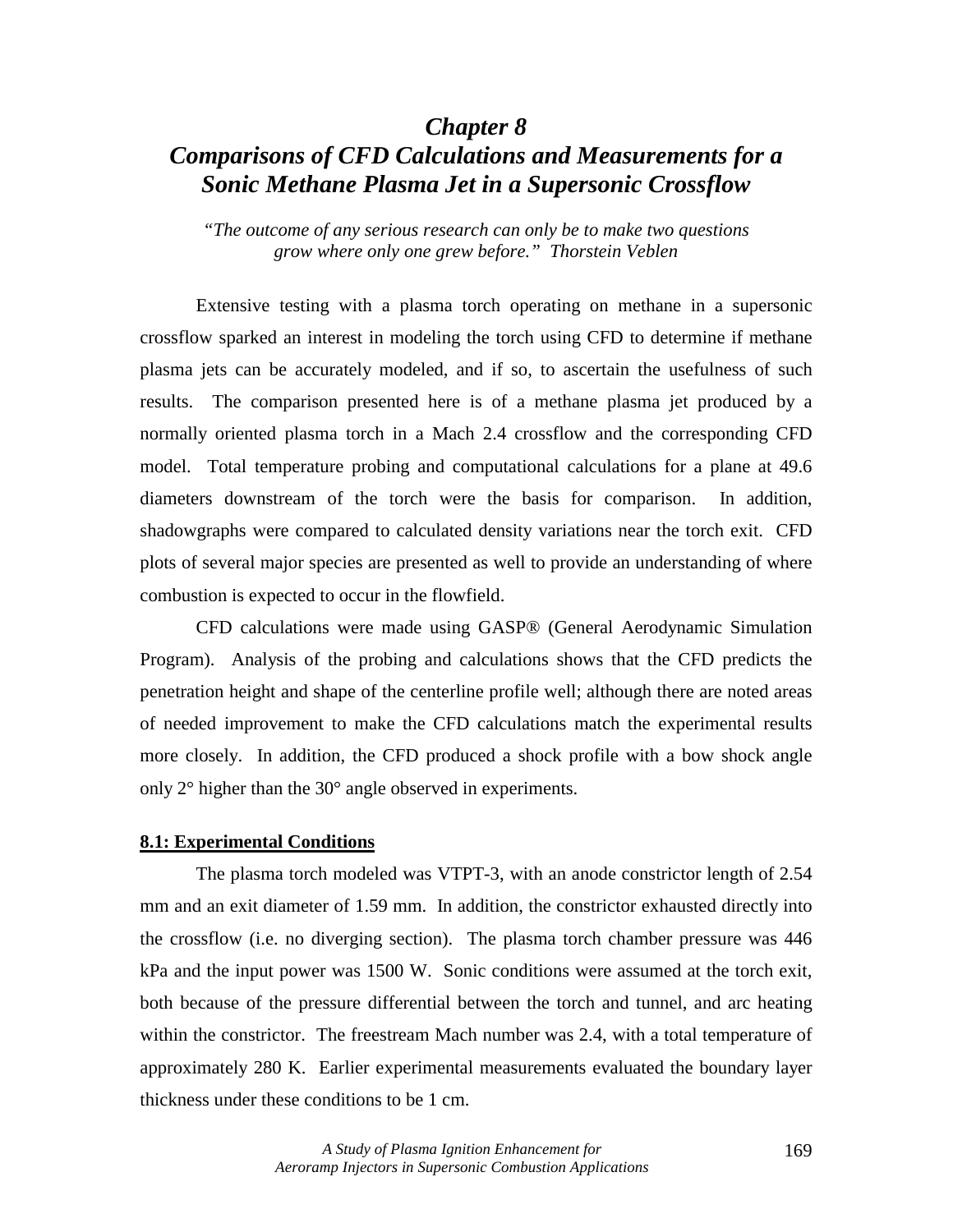## *Chapter 8*

# *Comparisons of CFD Calculations and Measurements for a Sonic Methane Plasma Jet in a Supersonic Crossflow*

*"The outcome of any serious research can only be to make two questions grow where only one grew before." Thorstein Veblen* 

 Extensive testing with a plasma torch operating on methane in a supersonic crossflow sparked an interest in modeling the torch using CFD to determine if methane plasma jets can be accurately modeled, and if so, to ascertain the usefulness of such results. The comparison presented here is of a methane plasma jet produced by a normally oriented plasma torch in a Mach 2.4 crossflow and the corresponding CFD model. Total temperature probing and computational calculations for a plane at 49.6 diameters downstream of the torch were the basis for comparison. In addition, shadowgraphs were compared to calculated density variations near the torch exit. CFD plots of several major species are presented as well to provide an understanding of where combustion is expected to occur in the flowfield.

 CFD calculations were made using GASP® (General Aerodynamic Simulation Program). Analysis of the probing and calculations shows that the CFD predicts the penetration height and shape of the centerline profile well; although there are noted areas of needed improvement to make the CFD calculations match the experimental results more closely. In addition, the CFD produced a shock profile with a bow shock angle only 2° higher than the 30° angle observed in experiments.

## **8.1: Experimental Conditions**

The plasma torch modeled was VTPT-3, with an anode constrictor length of 2.54 mm and an exit diameter of 1.59 mm. In addition, the constrictor exhausted directly into the crossflow (i.e. no diverging section). The plasma torch chamber pressure was 446 kPa and the input power was 1500 W. Sonic conditions were assumed at the torch exit, both because of the pressure differential between the torch and tunnel, and arc heating within the constrictor. The freestream Mach number was 2.4, with a total temperature of approximately 280 K. Earlier experimental measurements evaluated the boundary layer thickness under these conditions to be 1 cm.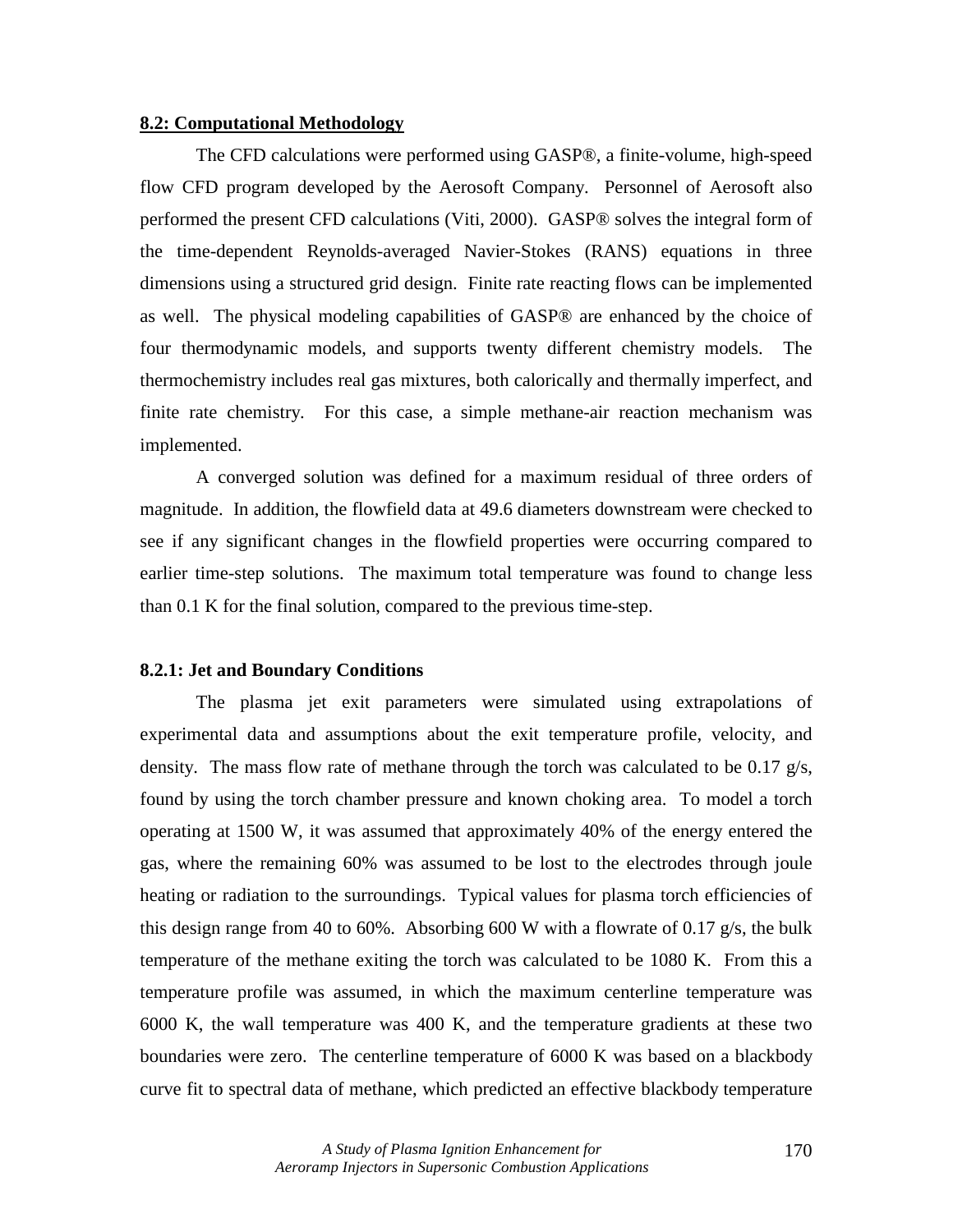## **8.2: Computational Methodology**

 The CFD calculations were performed using GASP®, a finite-volume, high-speed flow CFD program developed by the Aerosoft Company. Personnel of Aerosoft also performed the present CFD calculations (Viti, 2000). GASP® solves the integral form of the time-dependent Reynolds-averaged Navier-Stokes (RANS) equations in three dimensions using a structured grid design. Finite rate reacting flows can be implemented as well. The physical modeling capabilities of GASP® are enhanced by the choice of four thermodynamic models, and supports twenty different chemistry models. The thermochemistry includes real gas mixtures, both calorically and thermally imperfect, and finite rate chemistry. For this case, a simple methane-air reaction mechanism was implemented.

 A converged solution was defined for a maximum residual of three orders of magnitude. In addition, the flowfield data at 49.6 diameters downstream were checked to see if any significant changes in the flowfield properties were occurring compared to earlier time-step solutions. The maximum total temperature was found to change less than 0.1 K for the final solution, compared to the previous time-step.

## **8.2.1: Jet and Boundary Conditions**

 The plasma jet exit parameters were simulated using extrapolations of experimental data and assumptions about the exit temperature profile, velocity, and density. The mass flow rate of methane through the torch was calculated to be 0.17  $g/s$ , found by using the torch chamber pressure and known choking area. To model a torch operating at 1500 W, it was assumed that approximately 40% of the energy entered the gas, where the remaining 60% was assumed to be lost to the electrodes through joule heating or radiation to the surroundings. Typical values for plasma torch efficiencies of this design range from 40 to 60%. Absorbing 600 W with a flowrate of 0.17  $g/s$ , the bulk temperature of the methane exiting the torch was calculated to be 1080 K. From this a temperature profile was assumed, in which the maximum centerline temperature was 6000 K, the wall temperature was 400 K, and the temperature gradients at these two boundaries were zero. The centerline temperature of 6000 K was based on a blackbody curve fit to spectral data of methane, which predicted an effective blackbody temperature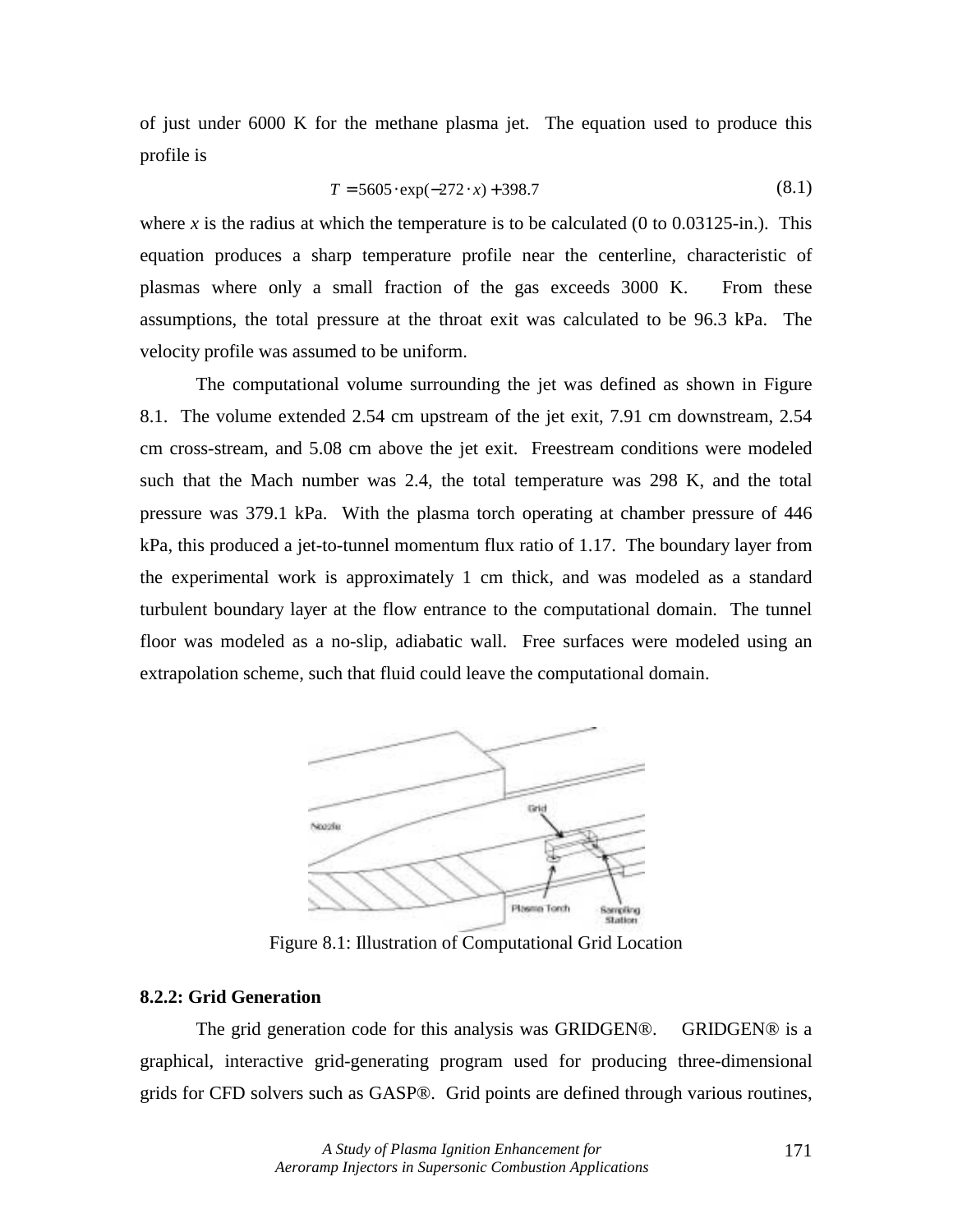of just under 6000 K for the methane plasma jet. The equation used to produce this profile is

$$
T = 5605 \cdot \exp(-272 \cdot x) + 398.7 \tag{8.1}
$$

where *x* is the radius at which the temperature is to be calculated (0 to 0.03125-in.). This equation produces a sharp temperature profile near the centerline, characteristic of plasmas where only a small fraction of the gas exceeds 3000 K. From these assumptions, the total pressure at the throat exit was calculated to be 96.3 kPa. The velocity profile was assumed to be uniform.

The computational volume surrounding the jet was defined as shown in Figure 8.1. The volume extended 2.54 cm upstream of the jet exit, 7.91 cm downstream, 2.54 cm cross-stream, and 5.08 cm above the jet exit. Freestream conditions were modeled such that the Mach number was 2.4, the total temperature was 298 K, and the total pressure was 379.1 kPa. With the plasma torch operating at chamber pressure of 446 kPa, this produced a jet-to-tunnel momentum flux ratio of 1.17. The boundary layer from the experimental work is approximately 1 cm thick, and was modeled as a standard turbulent boundary layer at the flow entrance to the computational domain. The tunnel floor was modeled as a no-slip, adiabatic wall. Free surfaces were modeled using an extrapolation scheme, such that fluid could leave the computational domain.



Figure 8.1: Illustration of Computational Grid Location

## **8.2.2: Grid Generation**

 The grid generation code for this analysis was GRIDGEN®. GRIDGEN® is a graphical, interactive grid-generating program used for producing three-dimensional grids for CFD solvers such as GASP®. Grid points are defined through various routines,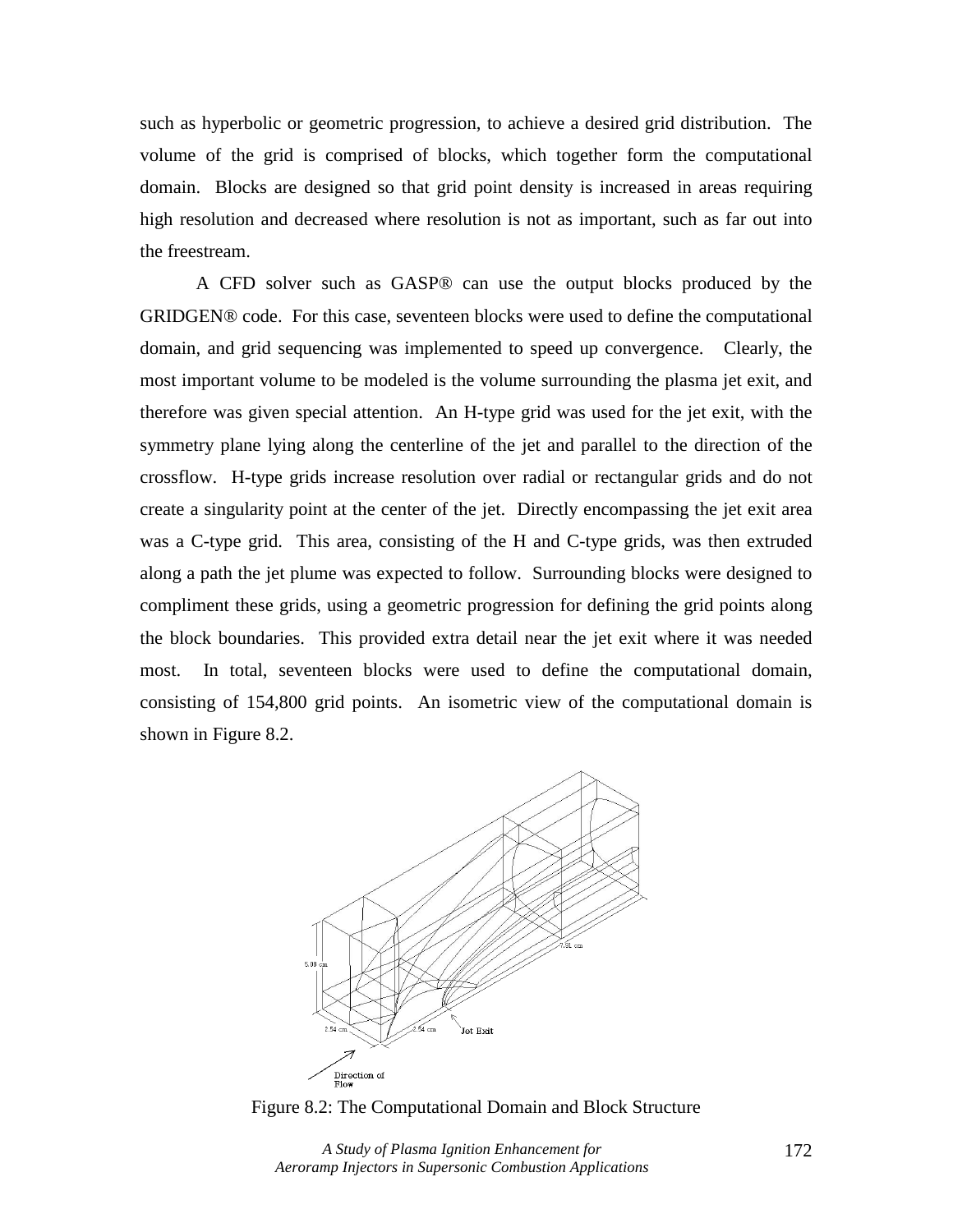such as hyperbolic or geometric progression, to achieve a desired grid distribution. The volume of the grid is comprised of blocks, which together form the computational domain. Blocks are designed so that grid point density is increased in areas requiring high resolution and decreased where resolution is not as important, such as far out into the freestream.

 A CFD solver such as GASP® can use the output blocks produced by the GRIDGEN® code. For this case, seventeen blocks were used to define the computational domain, and grid sequencing was implemented to speed up convergence. Clearly, the most important volume to be modeled is the volume surrounding the plasma jet exit, and therefore was given special attention. An H-type grid was used for the jet exit, with the symmetry plane lying along the centerline of the jet and parallel to the direction of the crossflow. H-type grids increase resolution over radial or rectangular grids and do not create a singularity point at the center of the jet. Directly encompassing the jet exit area was a C-type grid. This area, consisting of the H and C-type grids, was then extruded along a path the jet plume was expected to follow. Surrounding blocks were designed to compliment these grids, using a geometric progression for defining the grid points along the block boundaries. This provided extra detail near the jet exit where it was needed most. In total, seventeen blocks were used to define the computational domain, consisting of 154,800 grid points. An isometric view of the computational domain is shown in Figure 8.2.



Figure 8.2: The Computational Domain and Block Structure

*A Study of Plasma Ignition Enhancement for Aeroramp Injectors in Supersonic Combustion Applications*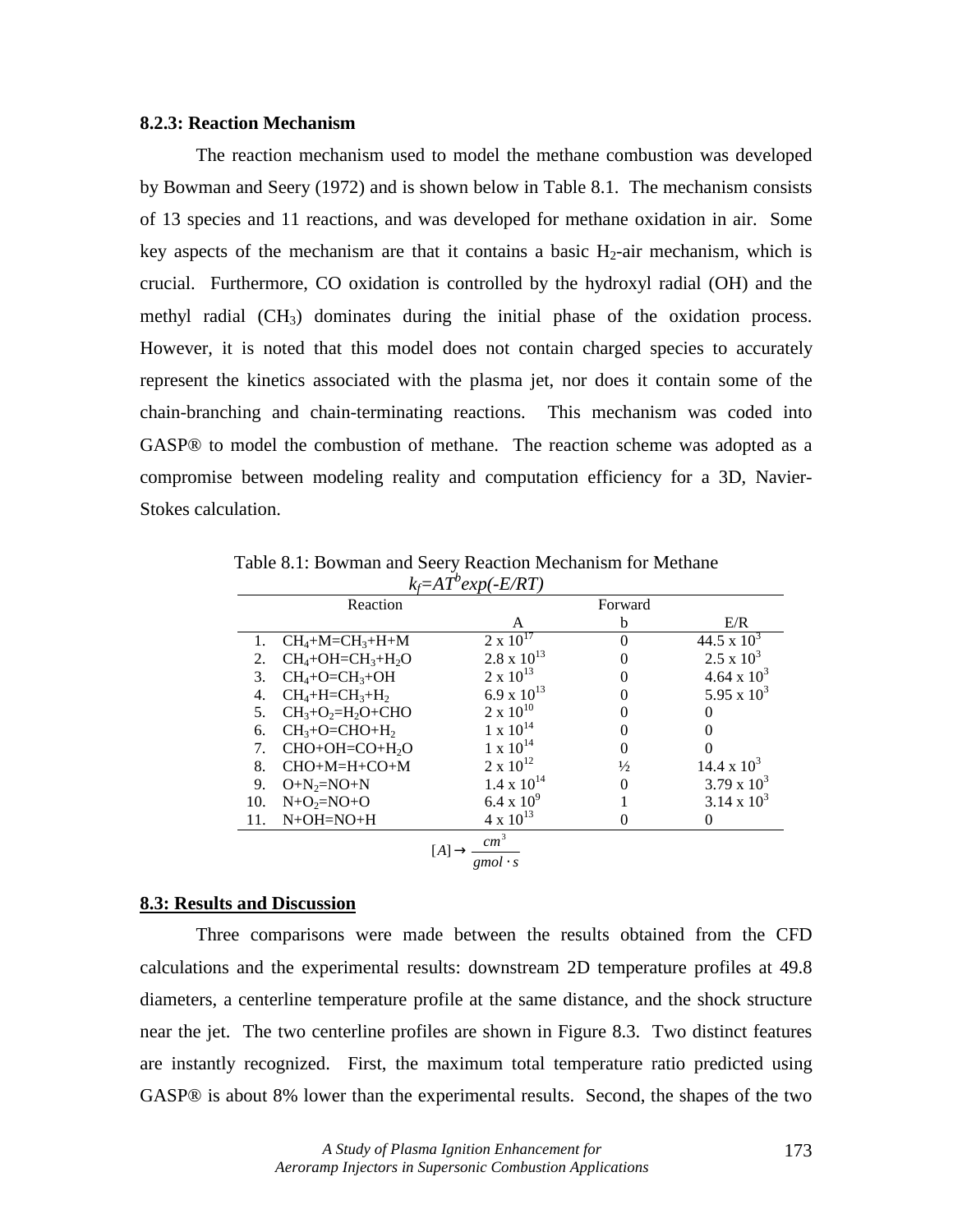## **8.2.3: Reaction Mechanism**

 The reaction mechanism used to model the methane combustion was developed by Bowman and Seery (1972) and is shown below in Table 8.1. The mechanism consists of 13 species and 11 reactions, and was developed for methane oxidation in air. Some key aspects of the mechanism are that it contains a basic  $H_2$ -air mechanism, which is crucial. Furthermore, CO oxidation is controlled by the hydroxyl radial (OH) and the methyl radial (CH<sub>3</sub>) dominates during the initial phase of the oxidation process. However, it is noted that this model does not contain charged species to accurately represent the kinetics associated with the plasma jet, nor does it contain some of the chain-branching and chain-terminating reactions. This mechanism was coded into GASP® to model the combustion of methane. The reaction scheme was adopted as a compromise between modeling reality and computation efficiency for a 3D, Navier-Stokes calculation.

|                           | Reaction                   |                      | Forward       |                   |
|---------------------------|----------------------------|----------------------|---------------|-------------------|
|                           |                            | A                    | b             | E/R               |
| 1.                        | $CH_4+M=CH_3+H+M$          | $2 \times 10^{17}$   | $\Omega$      | 44.5 x $10^3$     |
| 2.                        | $CH_4+OH=CH_3+H_2O$        | $2.8 \times 10^{13}$ |               | $2.5 \times 10^3$ |
| 3.                        | $CH_4+O=CH_3+OH$           | $2 \times 10^{13}$   | $\theta$      | 4.64 x $10^3$     |
| 4.                        | $CH_4+H=CH_3+H_2$          | 6.9 x $10^{13}$      |               | 5.95 x $10^3$     |
| 5.                        | $CH3+O2=H2O+CHO$           | $2 \times 10^{10}$   |               |                   |
| 6.                        | $CH3+O=CHO+H2$             | $1 \times 10^{14}$   |               |                   |
| 7.                        | CHO+OH=CO+H <sub>2</sub> O | $1 \times 10^{14}$   |               | 0                 |
| 8.                        | CHO+M=H+CO+M               | $2 \times 10^{12}$   | $\frac{1}{2}$ | 14.4 x $10^3$     |
| 9.                        | $O+N_2=NO+N$               | $1.4 \times 10^{14}$ | $\Omega$      | 3.79 x $10^3$     |
| 10.                       | $N+O_2=NO+O$               | $6.4 \times 10^{9}$  |               | 3.14 x $10^3$     |
| 11.                       | $N+OH=NO+H$                | $4 \times 10^{13}$   |               | 0                 |
| cm <sup>3</sup><br>gmol·s |                            |                      |               |                   |

Table 8.1: Bowman and Seery Reaction Mechanism for Methane *kf=AT<sup>b</sup> exp(-E/RT)* 

#### **8.3: Results and Discussion**

 Three comparisons were made between the results obtained from the CFD calculations and the experimental results: downstream 2D temperature profiles at 49.8 diameters, a centerline temperature profile at the same distance, and the shock structure near the jet. The two centerline profiles are shown in Figure 8.3. Two distinct features are instantly recognized. First, the maximum total temperature ratio predicted using GASP® is about 8% lower than the experimental results. Second, the shapes of the two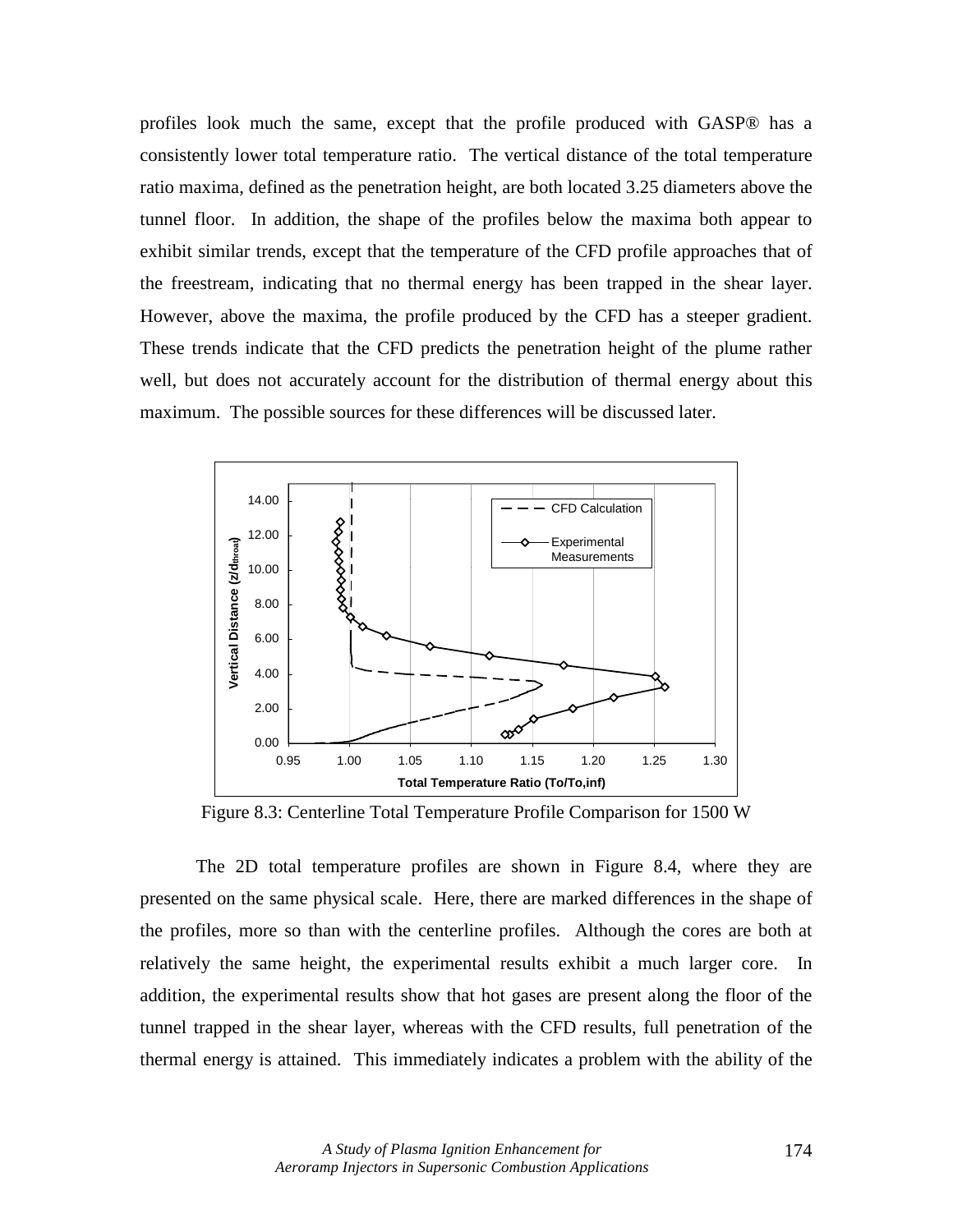profiles look much the same, except that the profile produced with GASP® has a consistently lower total temperature ratio. The vertical distance of the total temperature ratio maxima, defined as the penetration height, are both located 3.25 diameters above the tunnel floor. In addition, the shape of the profiles below the maxima both appear to exhibit similar trends, except that the temperature of the CFD profile approaches that of the freestream, indicating that no thermal energy has been trapped in the shear layer. However, above the maxima, the profile produced by the CFD has a steeper gradient. These trends indicate that the CFD predicts the penetration height of the plume rather well, but does not accurately account for the distribution of thermal energy about this maximum. The possible sources for these differences will be discussed later.



Figure 8.3: Centerline Total Temperature Profile Comparison for 1500 W

 The 2D total temperature profiles are shown in Figure 8.4, where they are presented on the same physical scale. Here, there are marked differences in the shape of the profiles, more so than with the centerline profiles. Although the cores are both at relatively the same height, the experimental results exhibit a much larger core. In addition, the experimental results show that hot gases are present along the floor of the tunnel trapped in the shear layer, whereas with the CFD results, full penetration of the thermal energy is attained. This immediately indicates a problem with the ability of the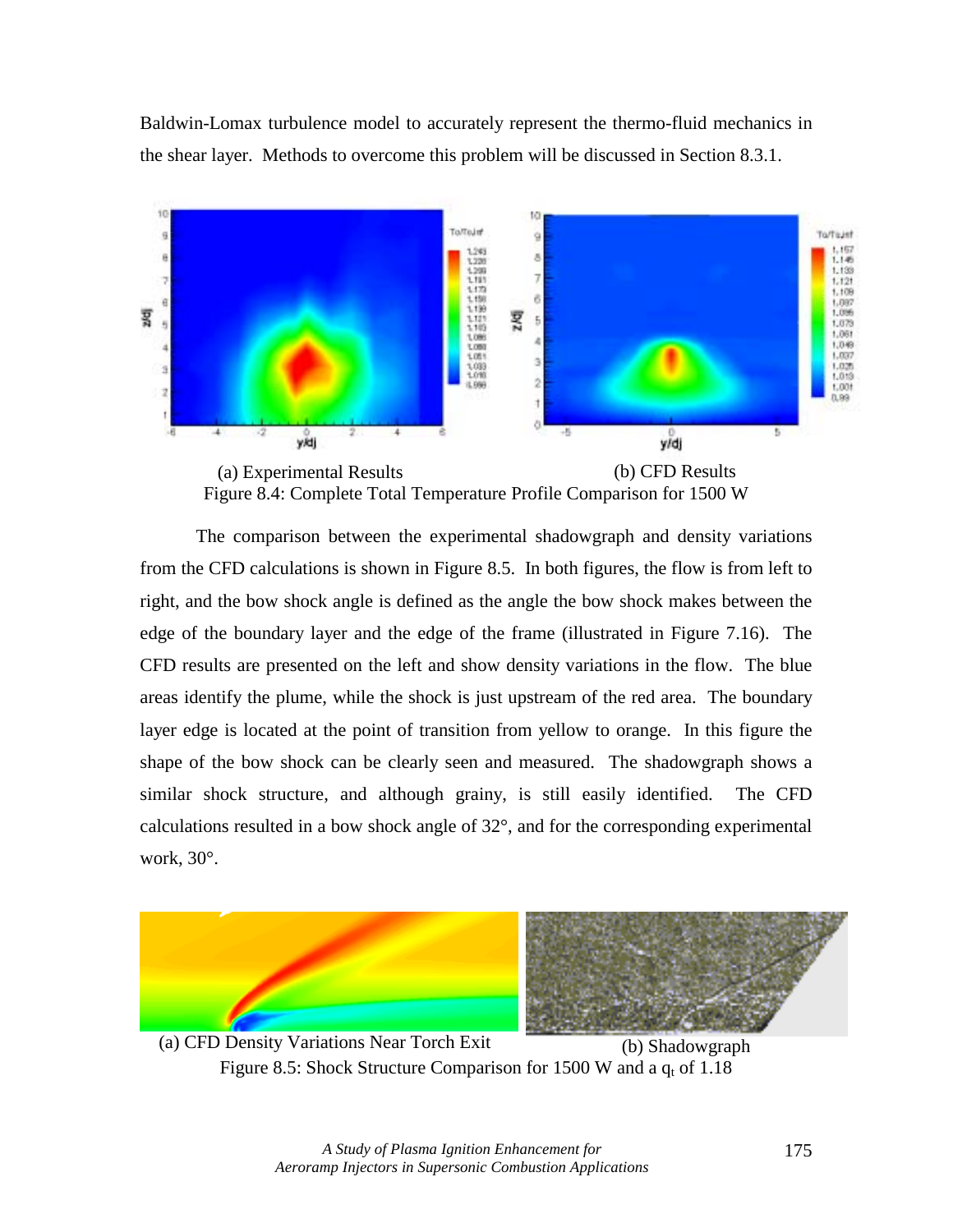Baldwin-Lomax turbulence model to accurately represent the thermo-fluid mechanics in the shear layer. Methods to overcome this problem will be discussed in Section 8.3.1.



Figure 8.4: Complete Total Temperature Profile Comparison for 1500 W

 The comparison between the experimental shadowgraph and density variations from the CFD calculations is shown in Figure 8.5. In both figures, the flow is from left to right, and the bow shock angle is defined as the angle the bow shock makes between the edge of the boundary layer and the edge of the frame (illustrated in Figure 7.16). The CFD results are presented on the left and show density variations in the flow. The blue areas identify the plume, while the shock is just upstream of the red area. The boundary layer edge is located at the point of transition from yellow to orange. In this figure the shape of the bow shock can be clearly seen and measured. The shadowgraph shows a similar shock structure, and although grainy, is still easily identified. The CFD calculations resulted in a bow shock angle of 32°, and for the corresponding experimental work, 30°.



(a) CFD Density Variations Near Torch Exit (b) Shadowgraph Figure 8.5: Shock Structure Comparison for 1500 W and a  $q_t$  of 1.18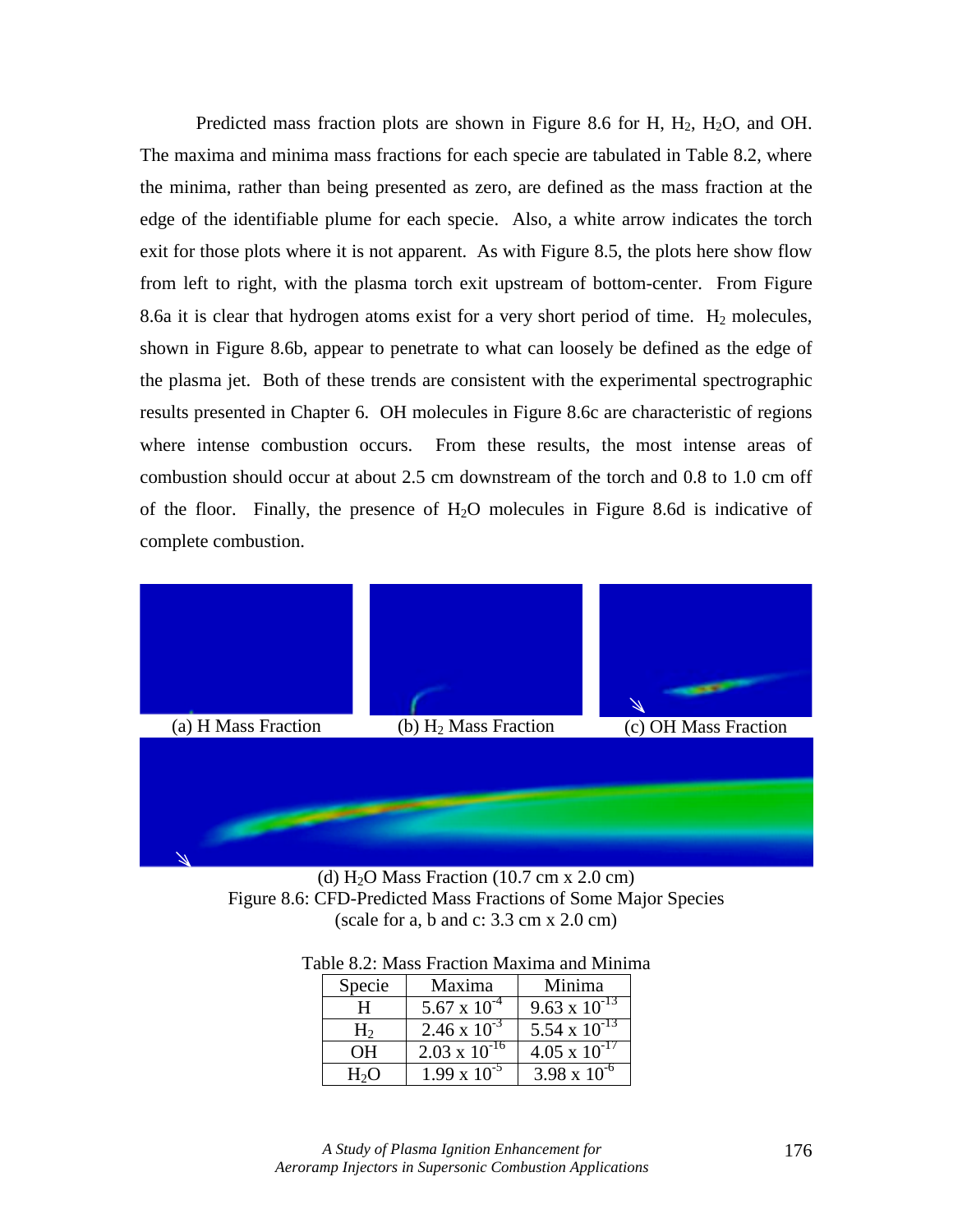Predicted mass fraction plots are shown in Figure 8.6 for H,  $H_2$ ,  $H_2O$ , and OH. The maxima and minima mass fractions for each specie are tabulated in Table 8.2, where the minima, rather than being presented as zero, are defined as the mass fraction at the edge of the identifiable plume for each specie. Also, a white arrow indicates the torch exit for those plots where it is not apparent. As with Figure 8.5, the plots here show flow from left to right, with the plasma torch exit upstream of bottom-center. From Figure 8.6a it is clear that hydrogen atoms exist for a very short period of time.  $H_2$  molecules, shown in Figure 8.6b, appear to penetrate to what can loosely be defined as the edge of the plasma jet. Both of these trends are consistent with the experimental spectrographic results presented in Chapter 6. OH molecules in Figure 8.6c are characteristic of regions where intense combustion occurs. From these results, the most intense areas of combustion should occur at about 2.5 cm downstream of the torch and 0.8 to 1.0 cm off of the floor. Finally, the presence of  $H<sub>2</sub>O$  molecules in Figure 8.6d is indicative of complete combustion.



(d)  $H<sub>2</sub>O$  Mass Fraction (10.7 cm x 2.0 cm) Figure 8.6: CFD-Predicted Mass Fractions of Some Major Species (scale for a, b and c: 3.3 cm x 2.0 cm)

| Specie       | Maxima                 | Minima                 |
|--------------|------------------------|------------------------|
|              | $5.67 \times 10^{-4}$  | $9.63 \times 10^{-13}$ |
| $H_2$        | $2.46 \times 10^{-3}$  | 5.54 x $10^{-13}$      |
| OН           | $2.03 \times 10^{-16}$ | $4.05 \times 10^{-17}$ |
| $H_2 \Omega$ | $1.99 \times 10^{-5}$  | $3.98 \times 10^{-6}$  |

| Table 8.2: Mass Fraction Maxima and Minima |  |  |  |
|--------------------------------------------|--|--|--|
|--------------------------------------------|--|--|--|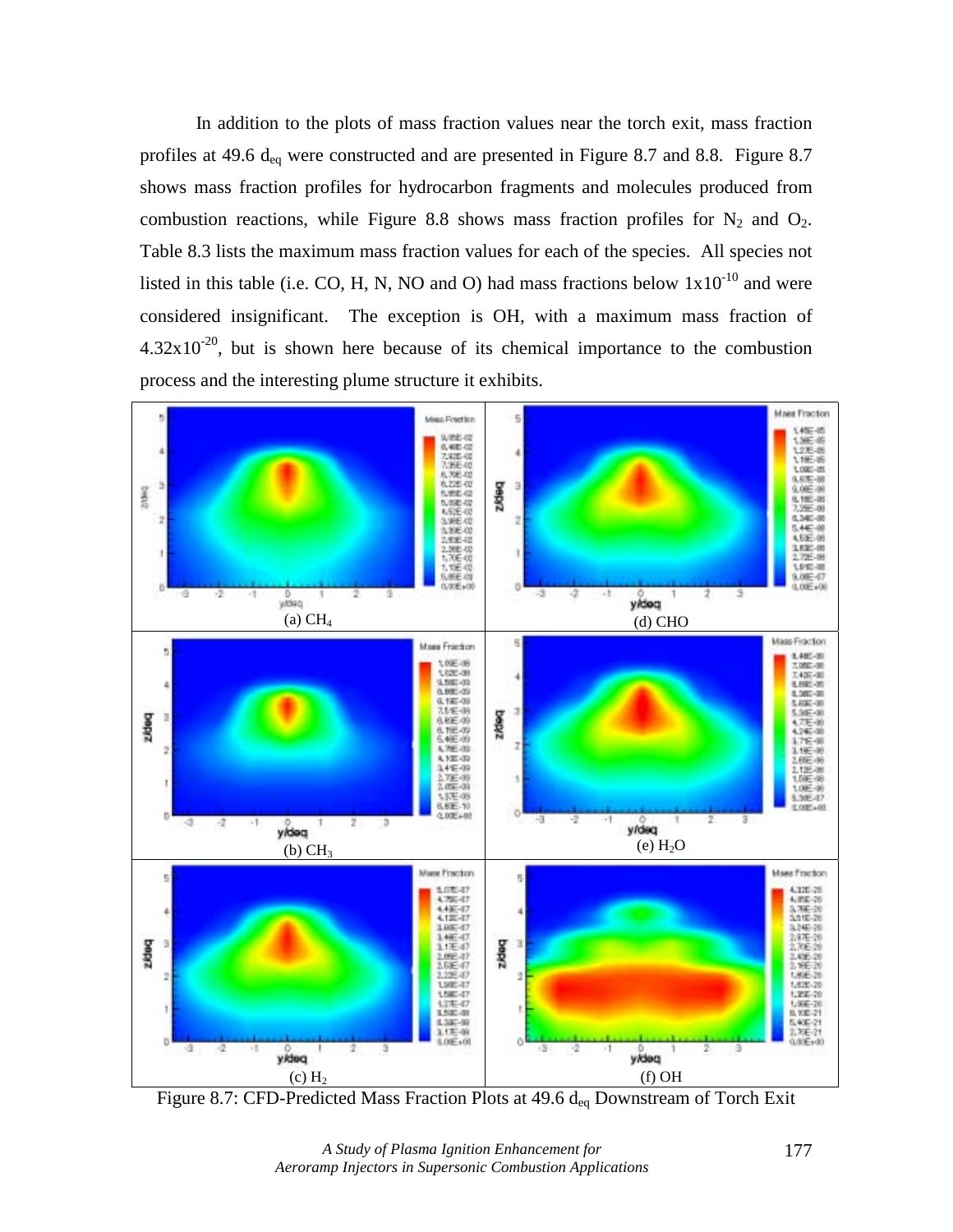In addition to the plots of mass fraction values near the torch exit, mass fraction profiles at 49.6 d<sub>eq</sub> were constructed and are presented in Figure 8.7 and 8.8. Figure 8.7 shows mass fraction profiles for hydrocarbon fragments and molecules produced from combustion reactions, while Figure 8.8 shows mass fraction profiles for  $N_2$  and  $O_2$ . Table 8.3 lists the maximum mass fraction values for each of the species. All species not listed in this table (i.e. CO, H, N, NO and O) had mass fractions below  $1x10^{-10}$  and were considered insignificant. The exception is OH, with a maximum mass fraction of  $4.32x10^{-20}$ , but is shown here because of its chemical importance to the combustion process and the interesting plume structure it exhibits.



Figure 8.7: CFD-Predicted Mass Fraction Plots at 49.6 deq Downstream of Torch Exit

*A Study of Plasma Ignition Enhancement for Aeroramp Injectors in Supersonic Combustion Applications*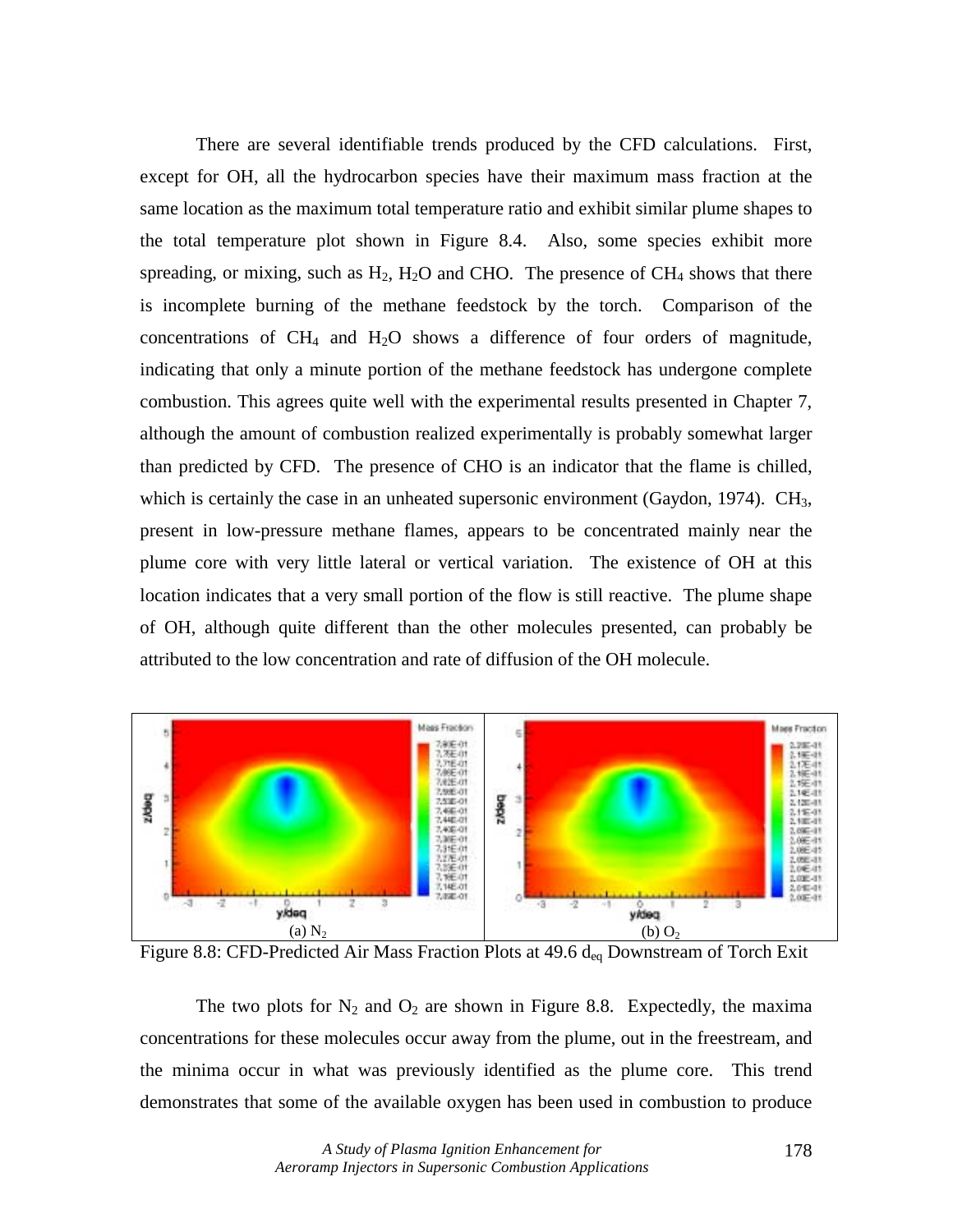There are several identifiable trends produced by the CFD calculations. First, except for OH, all the hydrocarbon species have their maximum mass fraction at the same location as the maximum total temperature ratio and exhibit similar plume shapes to the total temperature plot shown in Figure 8.4. Also, some species exhibit more spreading, or mixing, such as  $H_2$ ,  $H_2O$  and CHO. The presence of CH<sub>4</sub> shows that there is incomplete burning of the methane feedstock by the torch. Comparison of the concentrations of  $CH_4$  and  $H_2O$  shows a difference of four orders of magnitude, indicating that only a minute portion of the methane feedstock has undergone complete combustion. This agrees quite well with the experimental results presented in Chapter 7, although the amount of combustion realized experimentally is probably somewhat larger than predicted by CFD. The presence of CHO is an indicator that the flame is chilled, which is certainly the case in an unheated supersonic environment (Gaydon, 1974).  $CH<sub>3</sub>$ , present in low-pressure methane flames, appears to be concentrated mainly near the plume core with very little lateral or vertical variation. The existence of OH at this location indicates that a very small portion of the flow is still reactive. The plume shape of OH, although quite different than the other molecules presented, can probably be attributed to the low concentration and rate of diffusion of the OH molecule.



Figure 8.8: CFD-Predicted Air Mass Fraction Plots at 49.6 d<sub>eq</sub> Downstream of Torch Exit

The two plots for  $N_2$  and  $O_2$  are shown in Figure 8.8. Expectedly, the maxima concentrations for these molecules occur away from the plume, out in the freestream, and the minima occur in what was previously identified as the plume core. This trend demonstrates that some of the available oxygen has been used in combustion to produce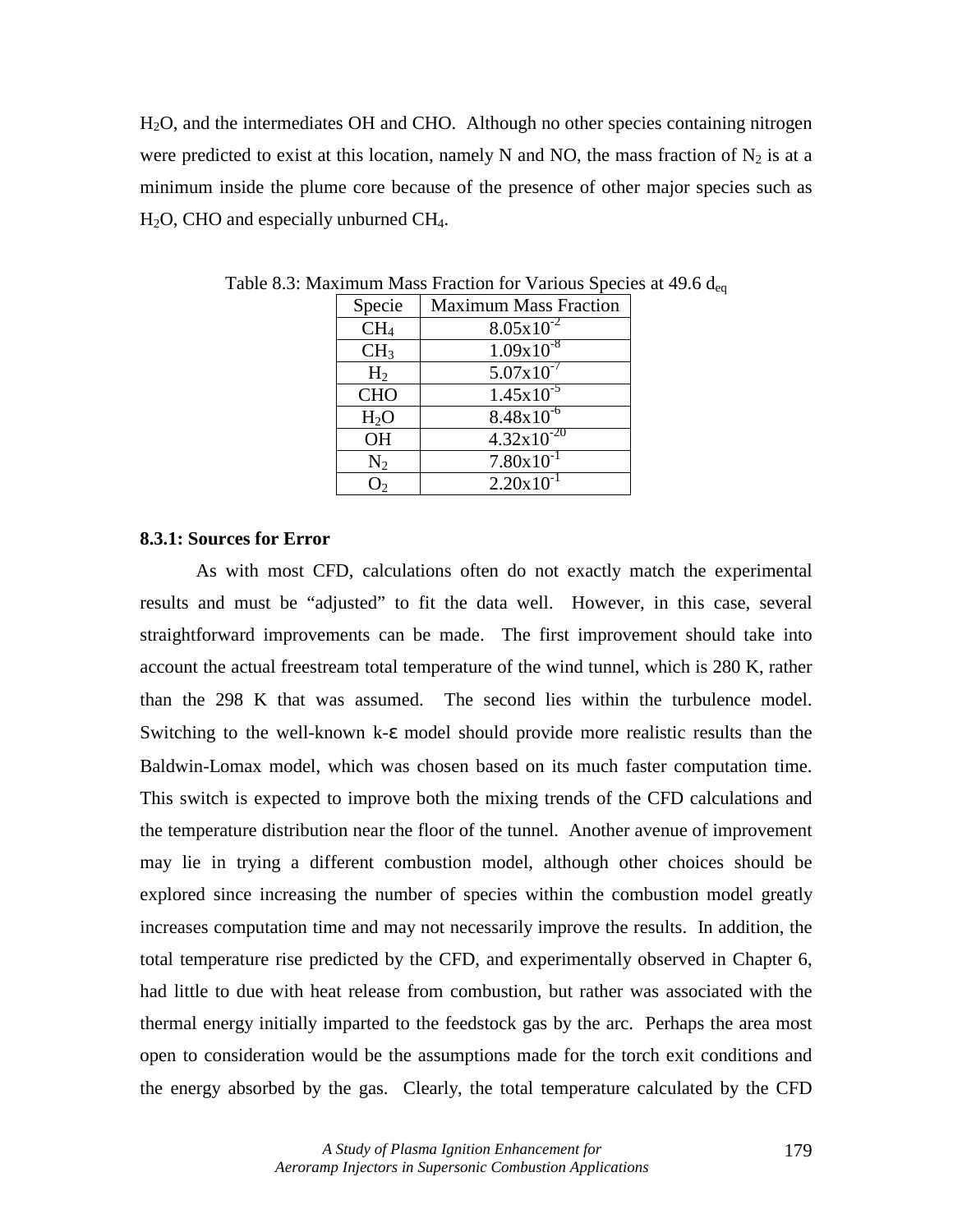H2O, and the intermediates OH and CHO. Although no other species containing nitrogen were predicted to exist at this location, namely N and NO, the mass fraction of  $N_2$  is at a minimum inside the plume core because of the presence of other major species such as  $H<sub>2</sub>O$ , CHO and especially unburned CH<sub>4</sub>.

| Specie           | <b>Maximum Mass Fraction</b> |  |
|------------------|------------------------------|--|
| CH <sub>4</sub>  | $8.05 \times 10^{-2}$        |  |
| CH <sub>3</sub>  | $1.09x10^{-8}$               |  |
| H <sub>2</sub>   | $5.07x10^{-7}$               |  |
| <b>CHO</b>       | $1.45x10^{-5}$               |  |
| H <sub>2</sub> O | $8.48x\overline{10^{-6}}$    |  |
| <b>OH</b>        | $4.32 \times 10^{-20}$       |  |
| $N_2$            | $7.80 \times 10^{-1}$        |  |
|                  | $2.20 \times 10^{-1}$        |  |

Table 8.3: Maximum Mass Fraction for Various Species at 49.6  $d_{eq}$ 

## **8.3.1: Sources for Error**

 As with most CFD, calculations often do not exactly match the experimental results and must be "adjusted" to fit the data well. However, in this case, several straightforward improvements can be made. The first improvement should take into account the actual freestream total temperature of the wind tunnel, which is 280 K, rather than the 298 K that was assumed. The second lies within the turbulence model. Switching to the well-known k-ε model should provide more realistic results than the Baldwin-Lomax model, which was chosen based on its much faster computation time. This switch is expected to improve both the mixing trends of the CFD calculations and the temperature distribution near the floor of the tunnel. Another avenue of improvement may lie in trying a different combustion model, although other choices should be explored since increasing the number of species within the combustion model greatly increases computation time and may not necessarily improve the results. In addition, the total temperature rise predicted by the CFD, and experimentally observed in Chapter 6, had little to due with heat release from combustion, but rather was associated with the thermal energy initially imparted to the feedstock gas by the arc. Perhaps the area most open to consideration would be the assumptions made for the torch exit conditions and the energy absorbed by the gas. Clearly, the total temperature calculated by the CFD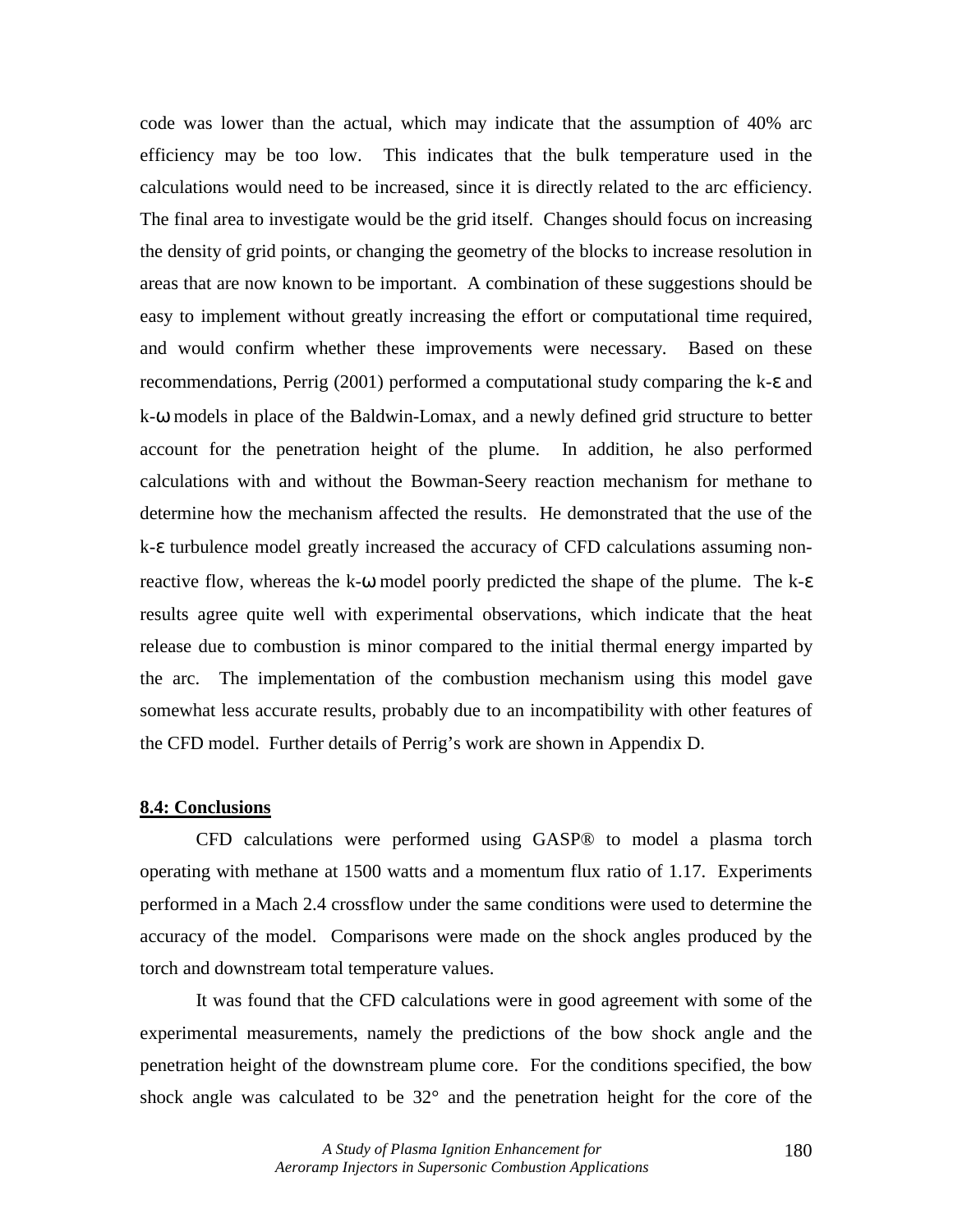code was lower than the actual, which may indicate that the assumption of 40% arc efficiency may be too low. This indicates that the bulk temperature used in the calculations would need to be increased, since it is directly related to the arc efficiency. The final area to investigate would be the grid itself. Changes should focus on increasing the density of grid points, or changing the geometry of the blocks to increase resolution in areas that are now known to be important. A combination of these suggestions should be easy to implement without greatly increasing the effort or computational time required, and would confirm whether these improvements were necessary. Based on these recommendations, Perrig (2001) performed a computational study comparing the k-ε and k-ω models in place of the Baldwin-Lomax, and a newly defined grid structure to better account for the penetration height of the plume. In addition, he also performed calculations with and without the Bowman-Seery reaction mechanism for methane to determine how the mechanism affected the results. He demonstrated that the use of the k-ε turbulence model greatly increased the accuracy of CFD calculations assuming nonreactive flow, whereas the k- $\omega$  model poorly predicted the shape of the plume. The k- $\varepsilon$ results agree quite well with experimental observations, which indicate that the heat release due to combustion is minor compared to the initial thermal energy imparted by the arc. The implementation of the combustion mechanism using this model gave somewhat less accurate results, probably due to an incompatibility with other features of the CFD model. Further details of Perrig's work are shown in Appendix D.

### **8.4: Conclusions**

 CFD calculations were performed using GASP® to model a plasma torch operating with methane at 1500 watts and a momentum flux ratio of 1.17. Experiments performed in a Mach 2.4 crossflow under the same conditions were used to determine the accuracy of the model. Comparisons were made on the shock angles produced by the torch and downstream total temperature values.

 It was found that the CFD calculations were in good agreement with some of the experimental measurements, namely the predictions of the bow shock angle and the penetration height of the downstream plume core. For the conditions specified, the bow shock angle was calculated to be 32° and the penetration height for the core of the